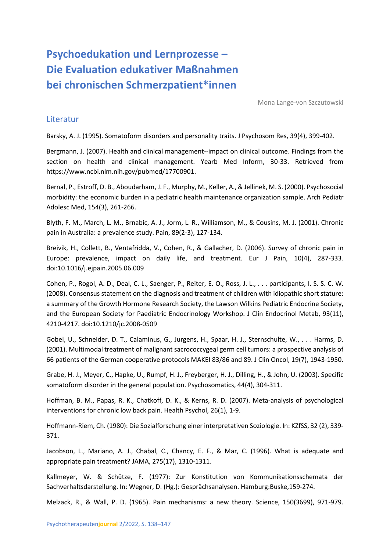## **Psychoedukation und Lernprozesse – Die Evaluation edukativer Maßnahmen bei chronischen Schmerzpatient\*innen**

Mona Lange-von Szczutowski

## **Literatur**

Barsky, A. J. (1995). Somatoform disorders and personality traits. J Psychosom Res, 39(4), 399-402.

Bergmann, J. (2007). Health and clinical management--impact on clinical outcome. Findings from the section on health and clinical management. Yearb Med Inform, 30-33. Retrieved from https://www.ncbi.nlm.nih.gov/pubmed/17700901.

Bernal, P., Estroff, D. B., Aboudarham, J. F., Murphy, M., Keller, A., & Jellinek, M. S. (2000). Psychosocial morbidity: the economic burden in a pediatric health maintenance organization sample. Arch Pediatr Adolesc Med, 154(3), 261-266.

Blyth, F. M., March, L. M., Brnabic, A. J., Jorm, L. R., Williamson, M., & Cousins, M. J. (2001). Chronic pain in Australia: a prevalence study. Pain, 89(2-3), 127-134.

Breivik, H., Collett, B., Ventafridda, V., Cohen, R., & Gallacher, D. (2006). Survey of chronic pain in Europe: prevalence, impact on daily life, and treatment. Eur J Pain, 10(4), 287-333. doi:10.1016/j.ejpain.2005.06.009

Cohen, P., Rogol, A. D., Deal, C. L., Saenger, P., Reiter, E. O., Ross, J. L., . . . participants, I. S. S. C. W. (2008). Consensus statement on the diagnosis and treatment of children with idiopathic short stature: a summary of the Growth Hormone Research Society, the Lawson Wilkins Pediatric Endocrine Society, and the European Society for Paediatric Endocrinology Workshop. J Clin Endocrinol Metab, 93(11), 4210-4217. doi:10.1210/jc.2008-0509

Gobel, U., Schneider, D. T., Calaminus, G., Jurgens, H., Spaar, H. J., Sternschulte, W., . . . Harms, D. (2001). Multimodal treatment of malignant sacrococcygeal germ cell tumors: a prospective analysis of 66 patients of the German cooperative protocols MAKEI 83/86 and 89. J Clin Oncol, 19(7), 1943-1950.

Grabe, H. J., Meyer, C., Hapke, U., Rumpf, H. J., Freyberger, H. J., Dilling, H., & John, U. (2003). Specific somatoform disorder in the general population. Psychosomatics, 44(4), 304-311.

Hoffman, B. M., Papas, R. K., Chatkoff, D. K., & Kerns, R. D. (2007). Meta-analysis of psychological interventions for chronic low back pain. Health Psychol, 26(1), 1-9.

Hoffmann-Riem, Ch. (1980): Die Sozialforschung einer interpretativen Soziologie. In: KZfSS, 32 (2), 339- 371.

Jacobson, L., Mariano, A. J., Chabal, C., Chancy, E. F., & Mar, C. (1996). What is adequate and appropriate pain treatment? JAMA, 275(17), 1310-1311.

Kallmeyer, W. & Schütze, F. (1977): Zur Konstitution von Kommunikationsschemata der Sachverhaltsdarstellung. In: Wegner, D. (Hg.): Gesprächsanalysen. Hamburg:Buske,159-274.

Melzack, R., & Wall, P. D. (1965). Pain mechanisms: a new theory. Science, 150(3699), 971-979.